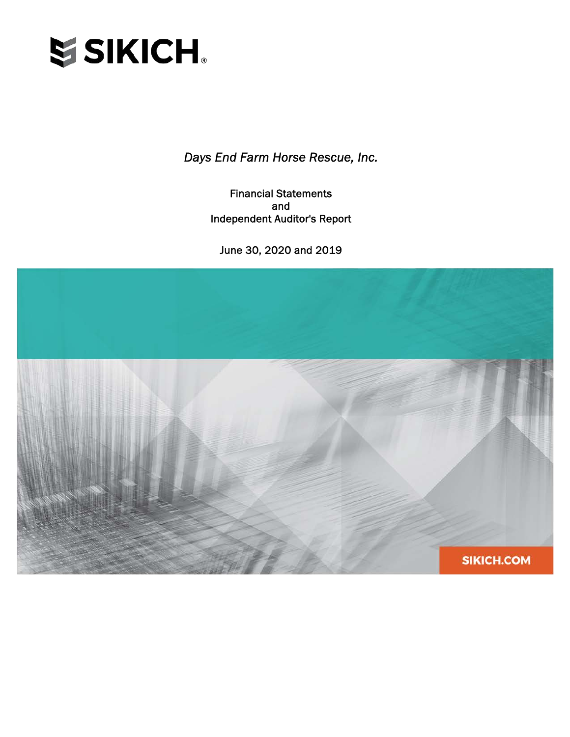

Financial Statements and Independent Auditor's Report

June 30, 2020 and 2019

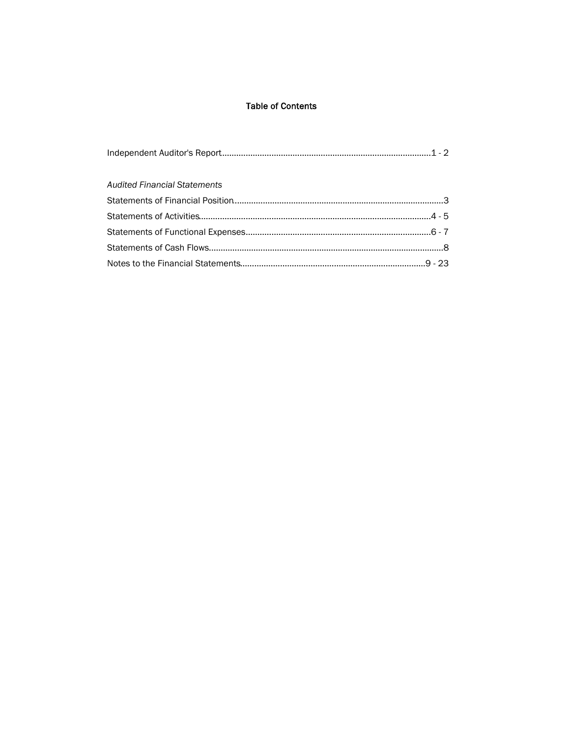## **Table of Contents**

| <b>Audited Financial Statements</b> |  |
|-------------------------------------|--|
|                                     |  |
|                                     |  |
|                                     |  |
|                                     |  |
|                                     |  |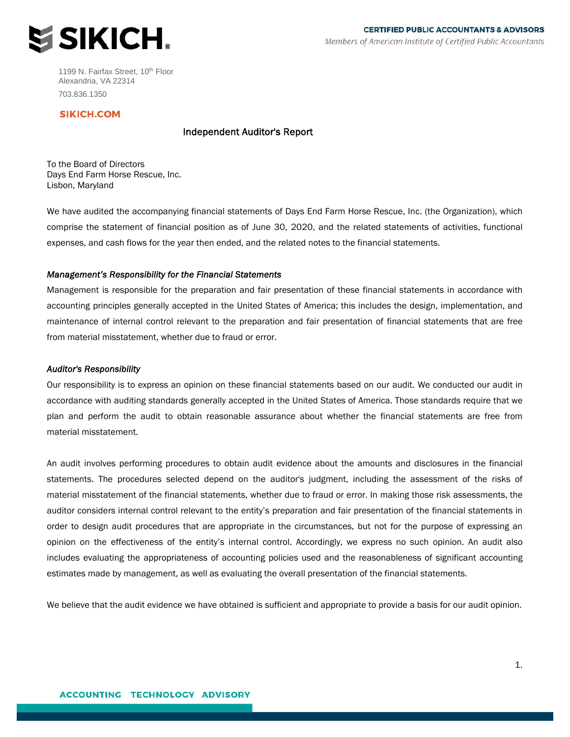

1199 N. Fairfax Street, 10<sup>th</sup> Floor Alexandria, VA 22314 703.836.1350

### **SIKICH.COM**

### Independent Auditor's Report

To the Board of Directors Days End Farm Horse Rescue, Inc. Lisbon, Maryland

We have audited the accompanying financial statements of Days End Farm Horse Rescue, Inc. (the Organization), which comprise the statement of financial position as of June 30, 2020, and the related statements of activities, functional expenses, and cash flows for the year then ended, and the related notes to the financial statements.

#### *Management's Responsibility for the Financial Statements*

Management is responsible for the preparation and fair presentation of these financial statements in accordance with accounting principles generally accepted in the United States of America; this includes the design, implementation, and maintenance of internal control relevant to the preparation and fair presentation of financial statements that are free from material misstatement, whether due to fraud or error.

#### *Auditor's Responsibility*

Our responsibility is to express an opinion on these financial statements based on our audit. We conducted our audit in accordance with auditing standards generally accepted in the United States of America. Those standards require that we plan and perform the audit to obtain reasonable assurance about whether the financial statements are free from material misstatement.

An audit involves performing procedures to obtain audit evidence about the amounts and disclosures in the financial statements. The procedures selected depend on the auditor's judgment, including the assessment of the risks of material misstatement of the financial statements, whether due to fraud or error. In making those risk assessments, the auditor considers internal control relevant to the entity's preparation and fair presentation of the financial statements in order to design audit procedures that are appropriate in the circumstances, but not for the purpose of expressing an opinion on the effectiveness of the entity's internal control. Accordingly, we express no such opinion. An audit also includes evaluating the appropriateness of accounting policies used and the reasonableness of significant accounting estimates made by management, as well as evaluating the overall presentation of the financial statements.

We believe that the audit evidence we have obtained is sufficient and appropriate to provide a basis for our audit opinion.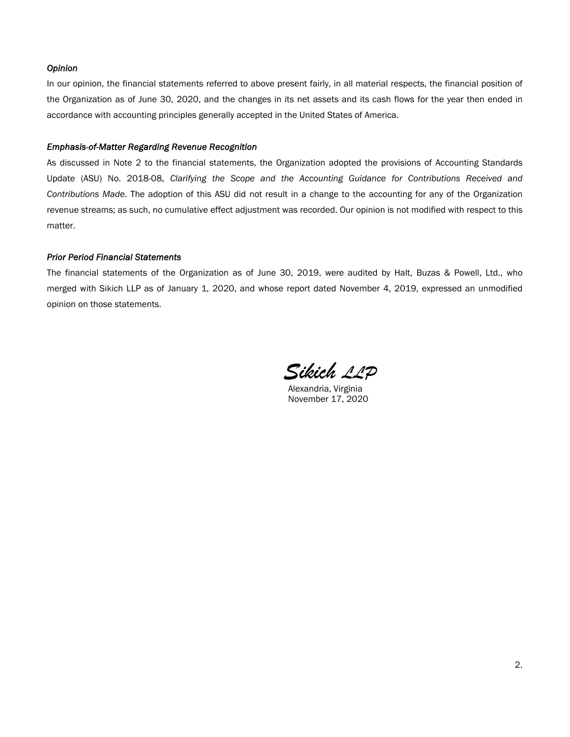### *Opinion*

In our opinion, the financial statements referred to above present fairly, in all material respects, the financial position of the Organization as of June 30, 2020, and the changes in its net assets and its cash flows for the year then ended in accordance with accounting principles generally accepted in the United States of America.

#### *Emphasis-of-Matter Regarding Revenue Recognition*

As discussed in Note 2 to the financial statements, the Organization adopted the provisions of Accounting Standards Update (ASU) No. 2018-08, *Clarifying the Scope and the Accounting Guidance for Contributions Received and Contributions Made*. The adoption of this ASU did not result in a change to the accounting for any of the Organization revenue streams; as such, no cumulative effect adjustment was recorded. Our opinion is not modified with respect to this matter.

#### *Prior Period Financial Statements*

The financial statements of the Organization as of June 30, 2019, were audited by Halt, Buzas & Powell, Ltd., who merged with Sikich LLP as of January 1, 2020, and whose report dated November 4, 2019, expressed an unmodified opinion on those statements.

Sikich 11D

Alexandria, Virginia November 17, 2020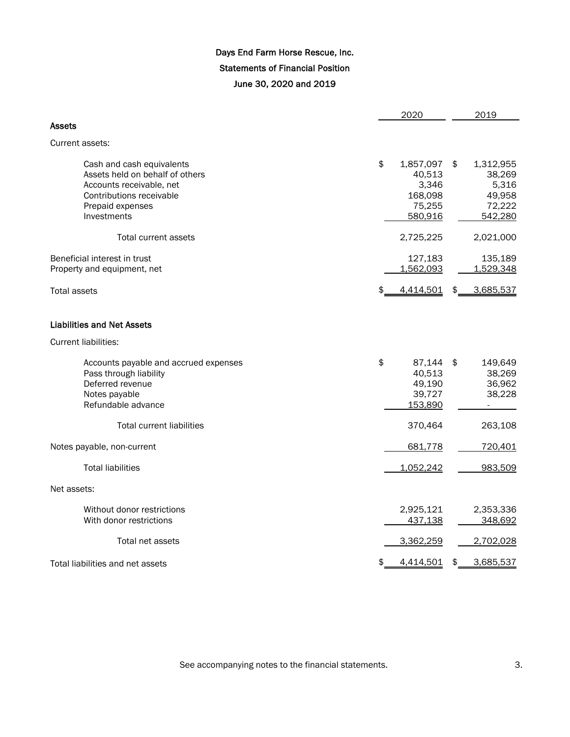# Days End Farm Horse Rescue, Inc. Statements of Financial Position June 30, 2020 and 2019

|                                                                                                                                                         | 2020                                                               | 2019                                                              |
|---------------------------------------------------------------------------------------------------------------------------------------------------------|--------------------------------------------------------------------|-------------------------------------------------------------------|
| Assets                                                                                                                                                  |                                                                    |                                                                   |
| Current assets:                                                                                                                                         |                                                                    |                                                                   |
| Cash and cash equivalents<br>Assets held on behalf of others<br>Accounts receivable, net<br>Contributions receivable<br>Prepaid expenses<br>Investments | \$<br>1,857,097<br>40,513<br>3,346<br>168,098<br>75,255<br>580,916 | \$<br>1,312,955<br>38,269<br>5,316<br>49,958<br>72,222<br>542,280 |
| <b>Total current assets</b>                                                                                                                             | 2,725,225                                                          | 2,021,000                                                         |
| Beneficial interest in trust<br>Property and equipment, net                                                                                             | 127,183<br>1,562,093                                               | 135,189<br>1,529,348                                              |
| <b>Total assets</b>                                                                                                                                     | 4,414,501                                                          | \$<br>3,685,537                                                   |
| <b>Liabilities and Net Assets</b>                                                                                                                       |                                                                    |                                                                   |
| <b>Current liabilities:</b>                                                                                                                             |                                                                    |                                                                   |
| Accounts payable and accrued expenses<br>Pass through liability<br>Deferred revenue<br>Notes payable<br>Refundable advance                              | \$<br>87,144<br>40,513<br>49,190<br>39,727<br>153,890              | \$<br>149,649<br>38,269<br>36,962<br>38,228                       |
| <b>Total current liabilities</b>                                                                                                                        | 370,464                                                            | 263,108                                                           |
| Notes payable, non-current                                                                                                                              | 681,778                                                            | 720,401                                                           |
| <b>Total liabilities</b>                                                                                                                                | 1,052,242                                                          | 983,509                                                           |
| Net assets:                                                                                                                                             |                                                                    |                                                                   |
| Without donor restrictions<br>With donor restrictions                                                                                                   | 2,925,121<br>437,138                                               | 2,353,336<br>348,692                                              |
| Total net assets                                                                                                                                        | 3,362,259                                                          | 2,702,028                                                         |
| Total liabilities and net assets                                                                                                                        | 4,414,501                                                          | \$<br>3,685,537                                                   |

See accompanying notes to the financial statements.  $\qquad \qquad 3.$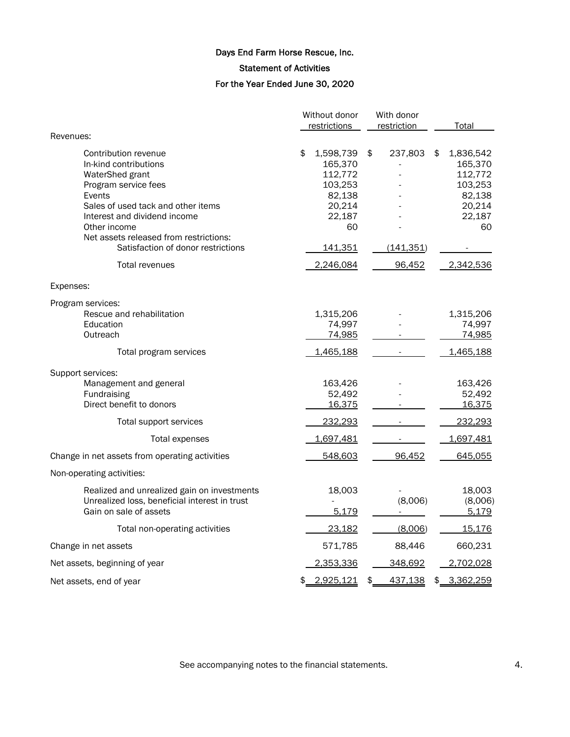Statement of Activities

# For the Year Ended June 30, 2020

|                                                                                                                                                                                                                                                                          | Without donor |                                                                                                  |    | With donor            |    |                                                                                |  |
|--------------------------------------------------------------------------------------------------------------------------------------------------------------------------------------------------------------------------------------------------------------------------|---------------|--------------------------------------------------------------------------------------------------|----|-----------------------|----|--------------------------------------------------------------------------------|--|
| Revenues:                                                                                                                                                                                                                                                                |               | restrictions                                                                                     |    | restriction           |    | Total                                                                          |  |
| Contribution revenue<br>In-kind contributions<br>WaterShed grant<br>Program service fees<br>Events<br>Sales of used tack and other items<br>Interest and dividend income<br>Other income<br>Net assets released from restrictions:<br>Satisfaction of donor restrictions | \$            | 1,598,739<br>165,370<br>112,772<br>103,253<br>82,138<br>20,214<br>22,187<br>60<br><u>141,351</u> | \$ | 237,803<br>(141, 351) | \$ | 1,836,542<br>165,370<br>112,772<br>103,253<br>82,138<br>20,214<br>22,187<br>60 |  |
| Total revenues                                                                                                                                                                                                                                                           |               | 2,246,084                                                                                        |    | 96,452                |    | 2,342,536                                                                      |  |
| Expenses:                                                                                                                                                                                                                                                                |               |                                                                                                  |    |                       |    |                                                                                |  |
| Program services:<br>Rescue and rehabilitation<br>Education<br>Outreach                                                                                                                                                                                                  |               | 1,315,206<br>74,997<br>74,985                                                                    |    |                       |    | 1,315,206<br>74,997<br>74,985                                                  |  |
| Total program services                                                                                                                                                                                                                                                   |               | 1,465,188                                                                                        |    |                       |    | 1,465,188                                                                      |  |
| Support services:<br>Management and general<br>Fundraising<br>Direct benefit to donors<br>Total support services<br>Total expenses                                                                                                                                       |               | 163,426<br>52,492<br>16,375<br>232,293<br>1,697,481                                              |    |                       |    | 163,426<br>52,492<br>16,375<br>232,293<br>1,697,481                            |  |
| Change in net assets from operating activities                                                                                                                                                                                                                           |               | 548,603                                                                                          |    | 96,452                |    | 645,055                                                                        |  |
| Non-operating activities:                                                                                                                                                                                                                                                |               |                                                                                                  |    |                       |    |                                                                                |  |
| Realized and unrealized gain on investments<br>Unrealized loss, beneficial interest in trust<br>Gain on sale of assets                                                                                                                                                   |               | 18,003<br>5,179                                                                                  |    | (8,006)               |    | 18,003<br>(8,006)<br>5,179                                                     |  |
| Total non-operating activities                                                                                                                                                                                                                                           |               | 23,182                                                                                           |    | (8,006)               |    | 15,176                                                                         |  |
| Change in net assets                                                                                                                                                                                                                                                     |               | 571,785                                                                                          |    | 88,446                |    | 660,231                                                                        |  |
| Net assets, beginning of year                                                                                                                                                                                                                                            |               | 2,353,336                                                                                        |    | 348,692               |    | 2,702,028                                                                      |  |
| Net assets, end of year                                                                                                                                                                                                                                                  |               | \$ 2,925,121                                                                                     | \$ | 437,138               |    | \$ 3,362,259                                                                   |  |

See accompanying notes to the financial statements.  $\qquad \qquad \qquad 4.$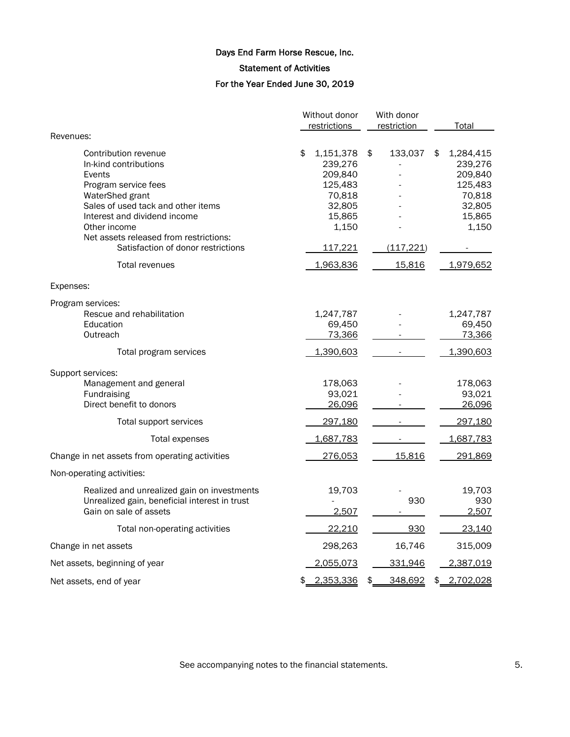Statement of Activities

# For the Year Ended June 30, 2019

|                                                       | Without donor |                  |    | With donor  |                  |
|-------------------------------------------------------|---------------|------------------|----|-------------|------------------|
|                                                       |               | restrictions     |    | restriction | Total            |
| Revenues:                                             |               |                  |    |             |                  |
| Contribution revenue                                  | \$            | 1,151,378        | \$ | 133,037     | \$<br>1,284,415  |
| In-kind contributions                                 |               | 239,276          |    |             | 239,276          |
| Events                                                |               | 209,840          |    |             | 209,840          |
| Program service fees                                  |               | 125,483          |    |             | 125,483          |
| WaterShed grant<br>Sales of used tack and other items |               | 70,818<br>32,805 |    |             | 70,818<br>32,805 |
| Interest and dividend income                          |               | 15,865           |    |             | 15,865           |
| Other income                                          |               | 1,150            |    |             | 1,150            |
| Net assets released from restrictions:                |               |                  |    |             |                  |
| Satisfaction of donor restrictions                    |               | 117,221          |    | (117, 221)  |                  |
| Total revenues                                        |               | 1,963,836        |    | 15,816      | 1,979,652        |
| Expenses:                                             |               |                  |    |             |                  |
| Program services:                                     |               |                  |    |             |                  |
| Rescue and rehabilitation                             |               | 1,247,787        |    |             | 1,247,787        |
| Education                                             |               | 69,450           |    |             | 69,450           |
| Outreach                                              |               | 73,366           |    |             | 73,366           |
| Total program services                                |               | 1,390,603        |    |             | 1,390,603        |
| Support services:                                     |               |                  |    |             |                  |
| Management and general                                |               | 178,063          |    |             | 178,063          |
| Fundraising                                           |               | 93,021           |    |             | 93,021           |
| Direct benefit to donors                              |               | 26,096           |    |             | 26,096           |
| Total support services                                |               | 297,180          |    |             | 297,180          |
| Total expenses                                        |               | 1,687,783        |    |             | 1,687,783        |
| Change in net assets from operating activities        |               | 276,053          |    | 15,816      | 291,869          |
| Non-operating activities:                             |               |                  |    |             |                  |
| Realized and unrealized gain on investments           |               | 19,703           |    |             | 19,703           |
| Unrealized gain, beneficial interest in trust         |               |                  |    | 930         | 930              |
| Gain on sale of assets                                |               | 2,507            |    |             | 2,507            |
| Total non-operating activities                        |               | 22,210           |    | 930         | 23,140           |
| Change in net assets                                  |               | 298,263          |    | 16,746      | 315,009          |
| Net assets, beginning of year                         |               | 2,055,073        |    | 331,946     | 2,387,019        |
| Net assets, end of year                               | \$            | 2,353,336        | \$ | 348,692     | \$<br>2,702,028  |

See accompanying notes to the financial statements. The second statements of  $5.$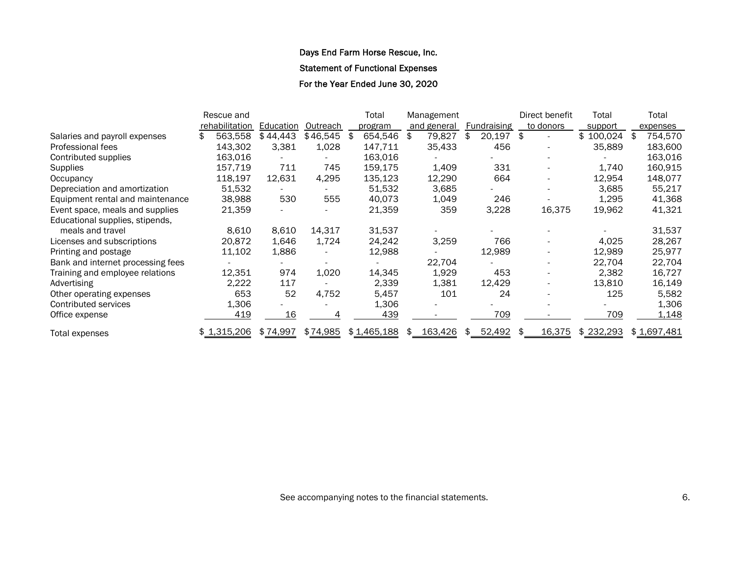Statement of Functional Expenses

For the Year Ended June 30, 2020

|                                   | Rescue and     |           |          | Total         |    | Management  |              | Direct benefit | Total         |     | Total       |
|-----------------------------------|----------------|-----------|----------|---------------|----|-------------|--------------|----------------|---------------|-----|-------------|
|                                   | rehabilitation | Education | Outreach | program       |    | and general | Fundraising  | to donors      | support       |     | expenses    |
| Salaries and payroll expenses     | 563,558        | \$44,443  | \$46,545 | \$<br>654,546 | \$ | 79,827      | \$<br>20,197 | \$             | 100,024<br>\$ | \$. | 754,570     |
| Professional fees                 | 143,302        | 3,381     | 1,028    | 147,711       |    | 35,433      | 456          |                | 35,889        |     | 183,600     |
| Contributed supplies              | 163,016        |           |          | 163,016       |    |             |              |                |               |     | 163,016     |
| <b>Supplies</b>                   | 157,719        | 711       | 745      | 159,175       |    | 1.409       | 331          |                | 1,740         |     | 160,915     |
| Occupancy                         | 118,197        | 12,631    | 4,295    | 135,123       |    | 12,290      | 664          |                | 12,954        |     | 148,077     |
| Depreciation and amortization     | 51,532         |           |          | 51,532        |    | 3,685       |              |                | 3,685         |     | 55,217      |
| Equipment rental and maintenance  | 38,988         | 530       | 555      | 40,073        |    | 1,049       | 246          |                | 1,295         |     | 41,368      |
| Event space, meals and supplies   | 21,359         |           |          | 21,359        |    | 359         | 3,228        | 16,375         | 19,962        |     | 41,321      |
| Educational supplies, stipends,   |                |           |          |               |    |             |              |                |               |     |             |
| meals and travel                  | 8,610          | 8,610     | 14,317   | 31,537        |    |             |              |                |               |     | 31,537      |
| Licenses and subscriptions        | 20,872         | 1,646     | 1,724    | 24,242        |    | 3,259       | 766          |                | 4,025         |     | 28,267      |
| Printing and postage              | 11,102         | 1,886     |          | 12,988        |    |             | 12,989       |                | 12,989        |     | 25,977      |
| Bank and internet processing fees |                |           |          |               |    | 22,704      |              |                | 22,704        |     | 22,704      |
| Training and employee relations   | 12,351         | 974       | 1,020    | 14,345        |    | 1,929       | 453          |                | 2,382         |     | 16,727      |
| Advertising                       | 2,222          | 117       |          | 2,339         |    | 1,381       | 12,429       |                | 13,810        |     | 16,149      |
| Other operating expenses          | 653            | 52        | 4,752    | 5,457         |    | 101         | 24           |                | 125           |     | 5,582       |
| Contributed services              | 1,306          |           |          | 1,306         |    |             |              |                |               |     | 1,306       |
| Office expense                    | 419            | 16        |          | 439           |    |             | 709          |                | 709           |     | 1,148       |
| Total expenses                    | \$1,315,206    | \$74,997  | \$74,985 | \$1,465,188   | S. | 163,426     | \$ 52,492    | 16,375         | \$232,293     |     | \$1,697,481 |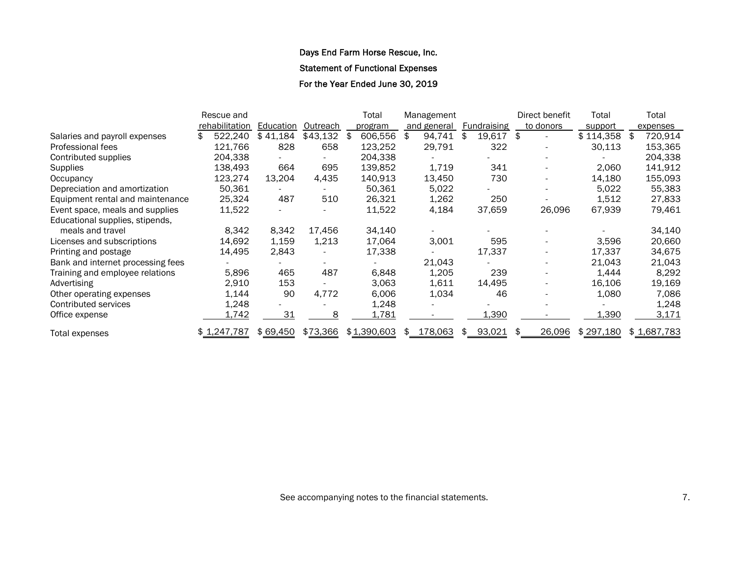Statement of Functional Expenses

For the Year Ended June 30, 2019

|                                   | Rescue and     |           |          |     | Total       |    | Management  |                    |    | Direct benefit | Total     | Total       |
|-----------------------------------|----------------|-----------|----------|-----|-------------|----|-------------|--------------------|----|----------------|-----------|-------------|
|                                   | rehabilitation | Education | Outreach |     | program     |    | and general | <b>Fundraising</b> |    | to donors      | support   | expenses    |
| Salaries and payroll expenses     | 522,240        | \$41,184  | \$43,132 | \$. | 606,556     | \$ | 94,741      | \$<br>19,617       | \$ |                | \$114,358 | 720,914     |
| Professional fees                 | 121,766        | 828       | 658      |     | 123,252     |    | 29,791      | 322                |    |                | 30,113    | 153,365     |
| Contributed supplies              | 204,338        |           |          |     | 204,338     |    |             |                    |    |                |           | 204,338     |
| <b>Supplies</b>                   | 138,493        | 664       | 695      |     | 139,852     |    | 1,719       | 341                |    |                | 2,060     | 141,912     |
| Occupancy                         | 123,274        | 13,204    | 4,435    |     | 140,913     |    | 13,450      | 730                |    |                | 14,180    | 155,093     |
| Depreciation and amortization     | 50,361         |           |          |     | 50,361      |    | 5,022       |                    |    |                | 5,022     | 55,383      |
| Equipment rental and maintenance  | 25,324         | 487       | 510      |     | 26,321      |    | 1,262       | 250                |    |                | 1,512     | 27,833      |
| Event space, meals and supplies   | 11,522         |           |          |     | 11,522      |    | 4,184       | 37,659             |    | 26,096         | 67,939    | 79,461      |
| Educational supplies, stipends,   |                |           |          |     |             |    |             |                    |    |                |           |             |
| meals and travel                  | 8,342          | 8,342     | 17,456   |     | 34,140      |    |             |                    |    |                |           | 34,140      |
| Licenses and subscriptions        | 14,692         | 1,159     | 1,213    |     | 17,064      |    | 3,001       | 595                |    |                | 3,596     | 20,660      |
| Printing and postage              | 14,495         | 2,843     |          |     | 17,338      |    |             | 17,337             |    |                | 17,337    | 34,675      |
| Bank and internet processing fees |                |           |          |     |             |    | 21,043      |                    |    |                | 21,043    | 21,043      |
| Training and employee relations   | 5,896          | 465       | 487      |     | 6,848       |    | 1,205       | 239                |    |                | 1,444     | 8,292       |
| Advertising                       | 2,910          | 153       |          |     | 3,063       |    | 1,611       | 14,495             |    |                | 16,106    | 19,169      |
| Other operating expenses          | 1,144          | 90        | 4,772    |     | 6,006       |    | 1,034       | 46                 |    |                | 1,080     | 7,086       |
| Contributed services              | 1,248          |           |          |     | 1,248       |    |             |                    |    |                |           | 1,248       |
| Office expense                    | 1,742          | 31        | 8        |     | 1,781       |    |             | 1,390              |    |                | 1,390     | 3,171       |
| Total expenses                    | \$1,247,787    | \$69,450  | \$73,366 |     | \$1,390,603 | S. | 178,063     | \$<br>93,021       | £. | 26,096         | \$297,180 | \$1,687,783 |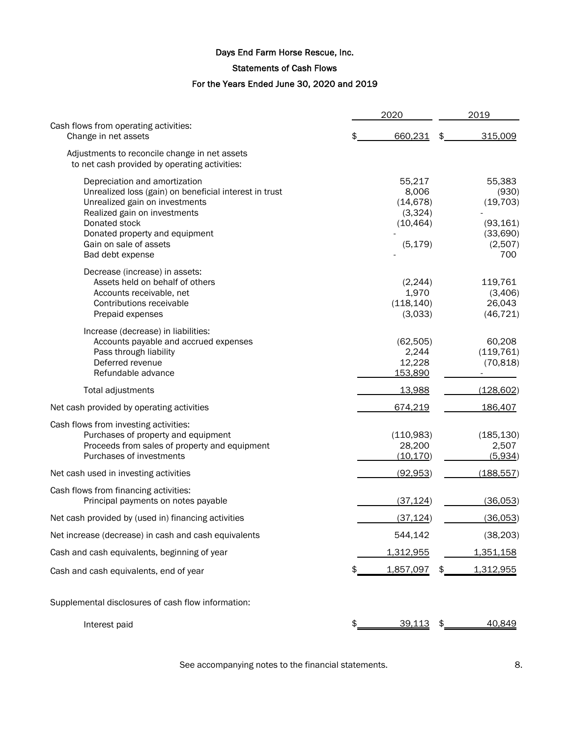## Statements of Cash Flows

# For the Years Ended June 30, 2020 and 2019

|                                                                                                                                                                                                                                                            | 2020                                                             | 2019                                                                    |
|------------------------------------------------------------------------------------------------------------------------------------------------------------------------------------------------------------------------------------------------------------|------------------------------------------------------------------|-------------------------------------------------------------------------|
| Cash flows from operating activities:<br>Change in net assets                                                                                                                                                                                              | \$<br>660,231                                                    | \$<br>315,009                                                           |
| Adjustments to reconcile change in net assets<br>to net cash provided by operating activities:                                                                                                                                                             |                                                                  |                                                                         |
| Depreciation and amortization<br>Unrealized loss (gain) on beneficial interest in trust<br>Unrealized gain on investments<br>Realized gain on investments<br>Donated stock<br>Donated property and equipment<br>Gain on sale of assets<br>Bad debt expense | 55,217<br>8,006<br>(14, 678)<br>(3,324)<br>(10, 464)<br>(5, 179) | 55,383<br>(930)<br>(19, 703)<br>(93, 161)<br>(33,690)<br>(2,507)<br>700 |
| Decrease (increase) in assets:<br>Assets held on behalf of others<br>Accounts receivable, net<br>Contributions receivable<br>Prepaid expenses                                                                                                              | (2, 244)<br>1,970<br>(118, 140)<br>(3,033)                       | 119,761<br>(3,406)<br>26,043<br>(46, 721)                               |
| Increase (decrease) in liabilities:<br>Accounts payable and accrued expenses<br>Pass through liability<br>Deferred revenue<br>Refundable advance                                                                                                           | (62, 505)<br>2,244<br>12,228<br>153,890                          | 60,208<br>(119, 761)<br>(70, 818)                                       |
| Total adjustments                                                                                                                                                                                                                                          | 13,988                                                           | (128, 602)                                                              |
| Net cash provided by operating activities                                                                                                                                                                                                                  | 674,219                                                          | 186,407                                                                 |
| Cash flows from investing activities:<br>Purchases of property and equipment<br>Proceeds from sales of property and equipment<br>Purchases of investments                                                                                                  | (110,983)<br>28,200<br>(10, 170)                                 | (185, 130)<br>2,507<br>(5,934)                                          |
| Net cash used in investing activities                                                                                                                                                                                                                      | (92, 953)                                                        | (188, 557)                                                              |
| Cash flows from financing activities:<br>Principal payments on notes payable                                                                                                                                                                               | (37, 124)                                                        | (36,053)                                                                |
| Net cash provided by (used in) financing activities                                                                                                                                                                                                        | (37, 124)                                                        | (36,053)                                                                |
| Net increase (decrease) in cash and cash equivalents                                                                                                                                                                                                       | 544,142                                                          | (38, 203)                                                               |
| Cash and cash equivalents, beginning of year                                                                                                                                                                                                               | 1,312,955                                                        | <u>1,351,158</u>                                                        |
| Cash and cash equivalents, end of year                                                                                                                                                                                                                     | 1,857,097                                                        | 1,312,955                                                               |
| Supplemental disclosures of cash flow information:                                                                                                                                                                                                         |                                                                  |                                                                         |
| Interest paid                                                                                                                                                                                                                                              | \$<br><u>39,113</u>                                              | \$<br>40,849                                                            |

See accompanying notes to the financial statements. See accompanying notes to the financial statements.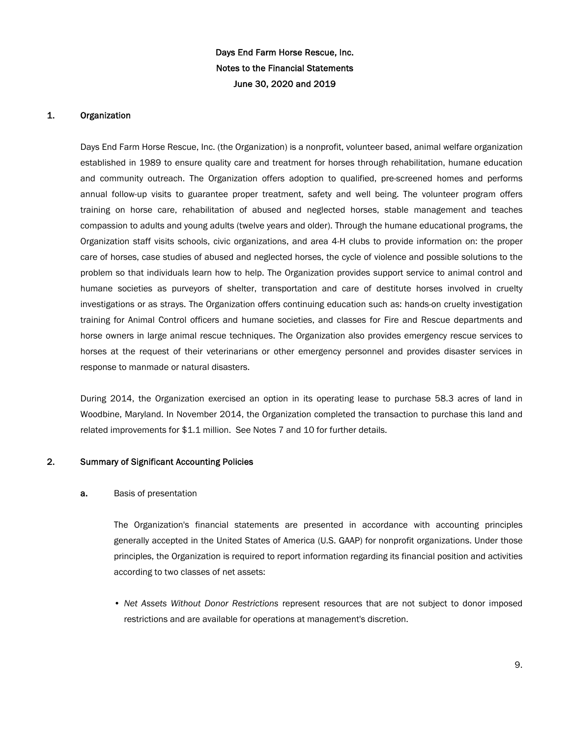#### 1. Organization

Days End Farm Horse Rescue, Inc. (the Organization) is a nonprofit, volunteer based, animal welfare organization established in 1989 to ensure quality care and treatment for horses through rehabilitation, humane education and community outreach. The Organization offers adoption to qualified, pre-screened homes and performs annual follow-up visits to guarantee proper treatment, safety and well being. The volunteer program offers training on horse care, rehabilitation of abused and neglected horses, stable management and teaches compassion to adults and young adults (twelve years and older). Through the humane educational programs, the Organization staff visits schools, civic organizations, and area 4-H clubs to provide information on: the proper care of horses, case studies of abused and neglected horses, the cycle of violence and possible solutions to the problem so that individuals learn how to help. The Organization provides support service to animal control and humane societies as purveyors of shelter, transportation and care of destitute horses involved in cruelty investigations or as strays. The Organization offers continuing education such as: hands-on cruelty investigation training for Animal Control officers and humane societies, and classes for Fire and Rescue departments and horse owners in large animal rescue techniques. The Organization also provides emergency rescue services to horses at the request of their veterinarians or other emergency personnel and provides disaster services in response to manmade or natural disasters.

During 2014, the Organization exercised an option in its operating lease to purchase 58.3 acres of land in Woodbine, Maryland. In November 2014, the Organization completed the transaction to purchase this land and related improvements for \$1.1 million. See Notes 7 and 10 for further details.

### 2. Summary of Significant Accounting Policies

#### a. Basis of presentation

The Organization's financial statements are presented in accordance with accounting principles generally accepted in the United States of America (U.S. GAAP) for nonprofit organizations. Under those principles, the Organization is required to report information regarding its financial position and activities according to two classes of net assets:

• *Net Assets Without Donor Restrictions* represent resources that are not subject to donor imposed restrictions and are available for operations at management's discretion.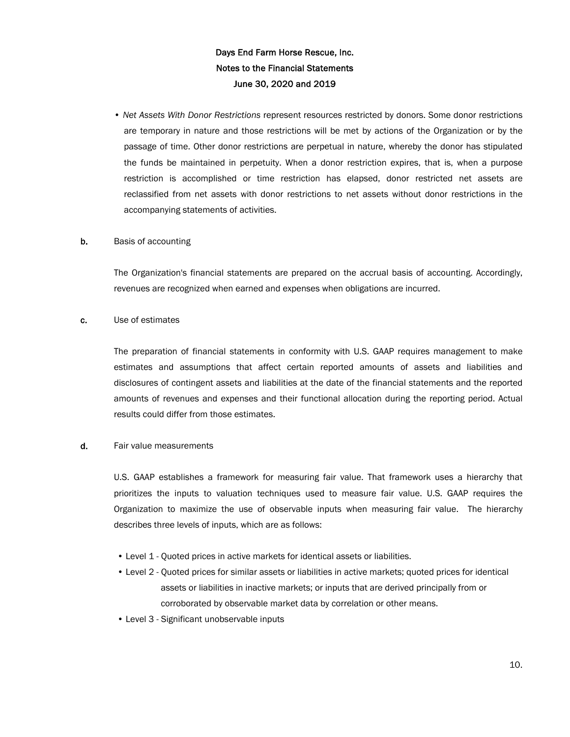• *Net Assets With Donor Restrictions* represent resources restricted by donors. Some donor restrictions are temporary in nature and those restrictions will be met by actions of the Organization or by the passage of time. Other donor restrictions are perpetual in nature, whereby the donor has stipulated the funds be maintained in perpetuity. When a donor restriction expires, that is, when a purpose restriction is accomplished or time restriction has elapsed, donor restricted net assets are reclassified from net assets with donor restrictions to net assets without donor restrictions in the accompanying statements of activities.

#### **b.** Basis of accounting

The Organization's financial statements are prepared on the accrual basis of accounting. Accordingly, revenues are recognized when earned and expenses when obligations are incurred.

#### c. Use of estimates

The preparation of financial statements in conformity with U.S. GAAP requires management to make estimates and assumptions that affect certain reported amounts of assets and liabilities and disclosures of contingent assets and liabilities at the date of the financial statements and the reported amounts of revenues and expenses and their functional allocation during the reporting period. Actual results could differ from those estimates.

#### d. Fair value measurements

U.S. GAAP establishes a framework for measuring fair value. That framework uses a hierarchy that prioritizes the inputs to valuation techniques used to measure fair value. U.S. GAAP requires the Organization to maximize the use of observable inputs when measuring fair value. The hierarchy describes three levels of inputs, which are as follows:

- Level 1 Quoted prices in active markets for identical assets or liabilities.
- Level 2 Quoted prices for similar assets or liabilities in active markets; quoted prices for identical assets or liabilities in inactive markets; or inputs that are derived principally from or corroborated by observable market data by correlation or other means.
- Level 3 Significant unobservable inputs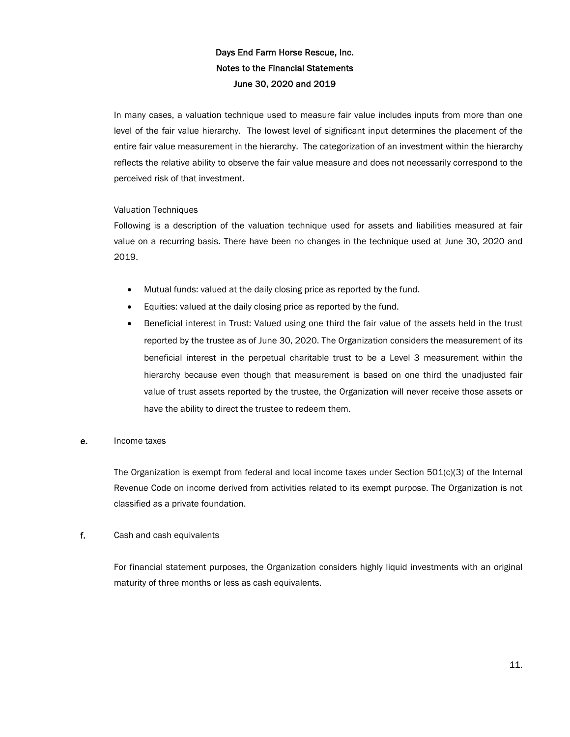In many cases, a valuation technique used to measure fair value includes inputs from more than one level of the fair value hierarchy. The lowest level of significant input determines the placement of the entire fair value measurement in the hierarchy. The categorization of an investment within the hierarchy reflects the relative ability to observe the fair value measure and does not necessarily correspond to the perceived risk of that investment.

### Valuation Techniques

Following is a description of the valuation technique used for assets and liabilities measured at fair value on a recurring basis. There have been no changes in the technique used at June 30, 2020 and 2019.

- Mutual funds: valued at the daily closing price as reported by the fund.
- Equities: valued at the daily closing price as reported by the fund.
- Beneficial interest in Trust: Valued using one third the fair value of the assets held in the trust reported by the trustee as of June 30, 2020. The Organization considers the measurement of its beneficial interest in the perpetual charitable trust to be a Level 3 measurement within the hierarchy because even though that measurement is based on one third the unadjusted fair value of trust assets reported by the trustee, the Organization will never receive those assets or have the ability to direct the trustee to redeem them.

### e. Income taxes

The Organization is exempt from federal and local income taxes under Section 501(c)(3) of the Internal Revenue Code on income derived from activities related to its exempt purpose. The Organization is not classified as a private foundation.

### f. Cash and cash equivalents

For financial statement purposes, the Organization considers highly liquid investments with an original maturity of three months or less as cash equivalents.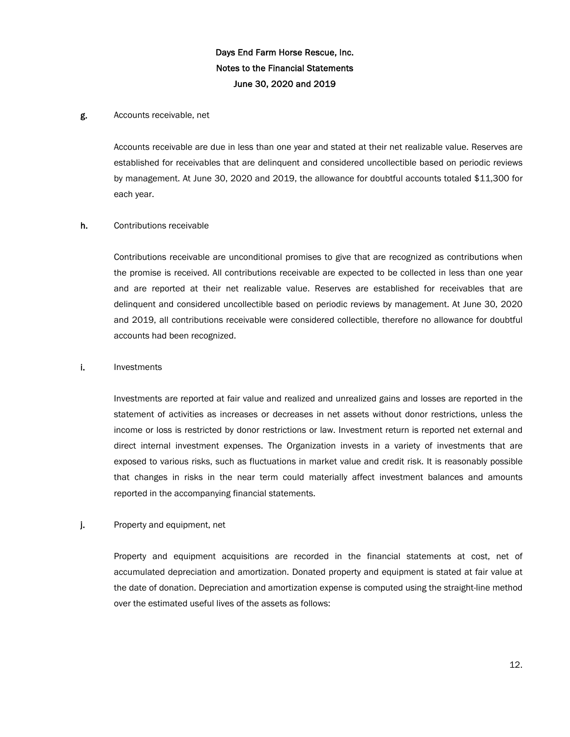#### g. Accounts receivable, net

Accounts receivable are due in less than one year and stated at their net realizable value. Reserves are established for receivables that are delinquent and considered uncollectible based on periodic reviews by management. At June 30, 2020 and 2019, the allowance for doubtful accounts totaled \$11,300 for each year.

#### h. Contributions receivable

Contributions receivable are unconditional promises to give that are recognized as contributions when the promise is received. All contributions receivable are expected to be collected in less than one year and are reported at their net realizable value. Reserves are established for receivables that are delinquent and considered uncollectible based on periodic reviews by management. At June 30, 2020 and 2019, all contributions receivable were considered collectible, therefore no allowance for doubtful accounts had been recognized.

#### i. Investments

Investments are reported at fair value and realized and unrealized gains and losses are reported in the statement of activities as increases or decreases in net assets without donor restrictions, unless the income or loss is restricted by donor restrictions or law. Investment return is reported net external and direct internal investment expenses. The Organization invests in a variety of investments that are exposed to various risks, such as fluctuations in market value and credit risk. It is reasonably possible that changes in risks in the near term could materially affect investment balances and amounts reported in the accompanying financial statements.

#### j. Property and equipment, net

Property and equipment acquisitions are recorded in the financial statements at cost, net of accumulated depreciation and amortization. Donated property and equipment is stated at fair value at the date of donation. Depreciation and amortization expense is computed using the straight-line method over the estimated useful lives of the assets as follows: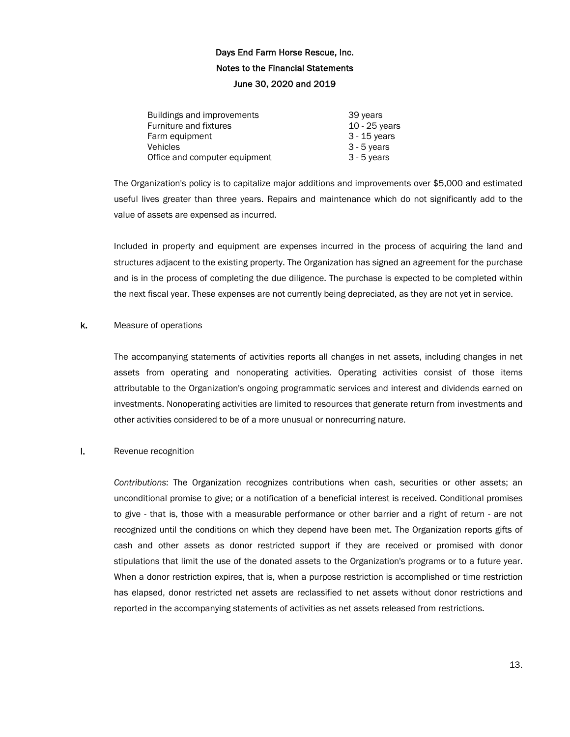| Buildings and improvements    | 39 years        |
|-------------------------------|-----------------|
| Furniture and fixtures        | $10 - 25$ years |
| Farm equipment                | $3 - 15$ years  |
| Vehicles                      | $3 - 5$ years   |
| Office and computer equipment | $3 - 5$ years   |

The Organization's policy is to capitalize major additions and improvements over \$5,000 and estimated useful lives greater than three years. Repairs and maintenance which do not significantly add to the value of assets are expensed as incurred.

Included in property and equipment are expenses incurred in the process of acquiring the land and structures adjacent to the existing property. The Organization has signed an agreement for the purchase and is in the process of completing the due diligence. The purchase is expected to be completed within the next fiscal year. These expenses are not currently being depreciated, as they are not yet in service.

#### k. Measure of operations

The accompanying statements of activities reports all changes in net assets, including changes in net assets from operating and nonoperating activities. Operating activities consist of those items attributable to the Organization's ongoing programmatic services and interest and dividends earned on investments. Nonoperating activities are limited to resources that generate return from investments and other activities considered to be of a more unusual or nonrecurring nature.

#### l. Revenue recognition

*Contributions*: The Organization recognizes contributions when cash, securities or other assets; an unconditional promise to give; or a notification of a beneficial interest is received. Conditional promises to give - that is, those with a measurable performance or other barrier and a right of return - are not recognized until the conditions on which they depend have been met. The Organization reports gifts of cash and other assets as donor restricted support if they are received or promised with donor stipulations that limit the use of the donated assets to the Organization's programs or to a future year. When a donor restriction expires, that is, when a purpose restriction is accomplished or time restriction has elapsed, donor restricted net assets are reclassified to net assets without donor restrictions and reported in the accompanying statements of activities as net assets released from restrictions.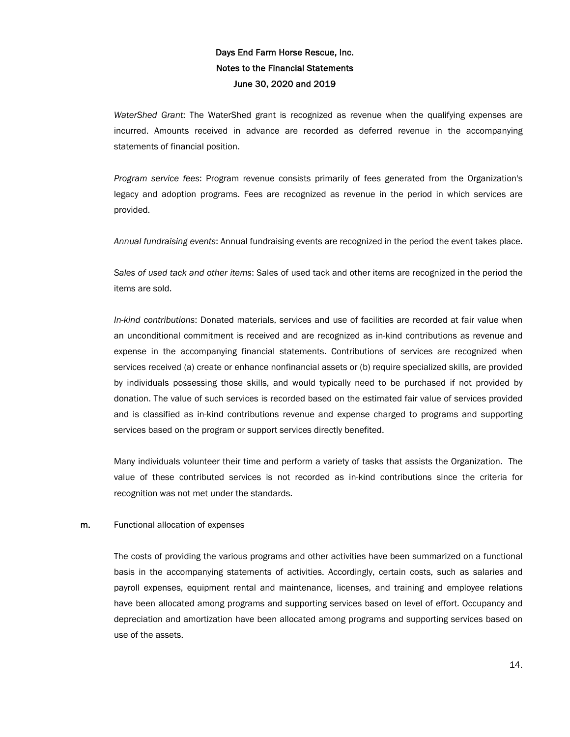*WaterShed Grant*: The WaterShed grant is recognized as revenue when the qualifying expenses are incurred. Amounts received in advance are recorded as deferred revenue in the accompanying statements of financial position.

*Program service fees*: Program revenue consists primarily of fees generated from the Organization's legacy and adoption programs. Fees are recognized as revenue in the period in which services are provided.

*Annual fundraising events*: Annual fundraising events are recognized in the period the event takes place.

*Sales of used tack and other items*: Sales of used tack and other items are recognized in the period the items are sold.

*In-kind contributions*: Donated materials, services and use of facilities are recorded at fair value when an unconditional commitment is received and are recognized as in-kind contributions as revenue and expense in the accompanying financial statements. Contributions of services are recognized when services received (a) create or enhance nonfinancial assets or (b) require specialized skills, are provided by individuals possessing those skills, and would typically need to be purchased if not provided by donation. The value of such services is recorded based on the estimated fair value of services provided and is classified as in-kind contributions revenue and expense charged to programs and supporting services based on the program or support services directly benefited.

Many individuals volunteer their time and perform a variety of tasks that assists the Organization. The value of these contributed services is not recorded as in-kind contributions since the criteria for recognition was not met under the standards.

#### m. Functional allocation of expenses

The costs of providing the various programs and other activities have been summarized on a functional basis in the accompanying statements of activities. Accordingly, certain costs, such as salaries and payroll expenses, equipment rental and maintenance, licenses, and training and employee relations have been allocated among programs and supporting services based on level of effort. Occupancy and depreciation and amortization have been allocated among programs and supporting services based on use of the assets.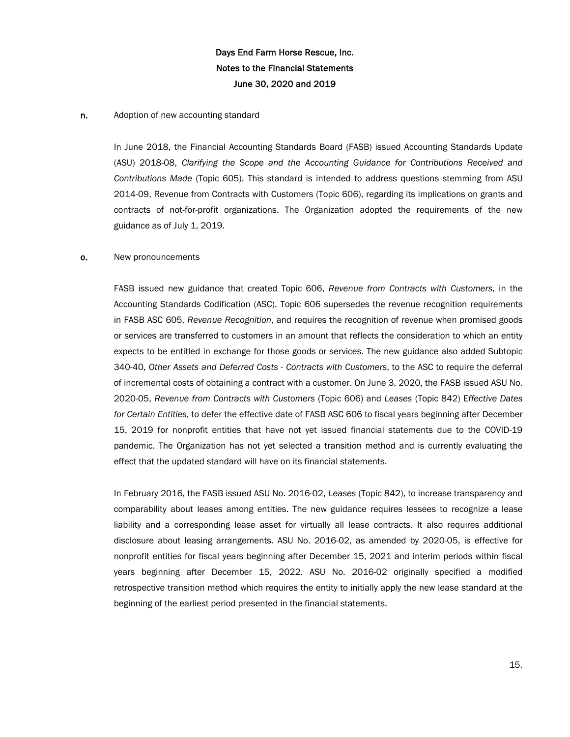#### n. Adoption of new accounting standard

In June 2018, the Financial Accounting Standards Board (FASB) issued Accounting Standards Update (ASU) 2018-08, *Clarifying the Scope and the Accounting Guidance for Contributions Received and Contributions Made* (Topic 605). This standard is intended to address questions stemming from ASU 2014-09, Revenue from Contracts with Customers (Topic 606), regarding its implications on grants and contracts of not-for-profit organizations. The Organization adopted the requirements of the new guidance as of July 1, 2019.

#### **o.** New pronouncements

FASB issued new guidance that created Topic 606, *Revenue from Contracts with Customers*, in the Accounting Standards Codification (ASC). Topic 606 supersedes the revenue recognition requirements in FASB ASC 605, *Revenue Recognition*, and requires the recognition of revenue when promised goods or services are transferred to customers in an amount that reflects the consideration to which an entity expects to be entitled in exchange for those goods or services. The new guidance also added Subtopic 340-40, *Other Assets and Deferred Costs - Contracts with Customers*, to the ASC to require the deferral of incremental costs of obtaining a contract with a customer. On June 3, 2020, the FASB issued ASU No. 2020-05, *Revenue from Contracts with Customers* (Topic 606) and *Leases* (Topic 842) E*ffective Dates for Certain Entities*, to defer the effective date of FASB ASC 606 to fiscal years beginning after December 15, 2019 for nonprofit entities that have not yet issued financial statements due to the COVID-19 pandemic. The Organization has not yet selected a transition method and is currently evaluating the effect that the updated standard will have on its financial statements.

In February 2016, the FASB issued ASU No. 2016-02, *Leases* (Topic 842), to increase transparency and comparability about leases among entities. The new guidance requires lessees to recognize a lease liability and a corresponding lease asset for virtually all lease contracts. It also requires additional disclosure about leasing arrangements. ASU No. 2016-02, as amended by 2020-05, is effective for nonprofit entities for fiscal years beginning after December 15, 2021 and interim periods within fiscal years beginning after December 15, 2022. ASU No. 2016-02 originally specified a modified retrospective transition method which requires the entity to initially apply the new lease standard at the beginning of the earliest period presented in the financial statements.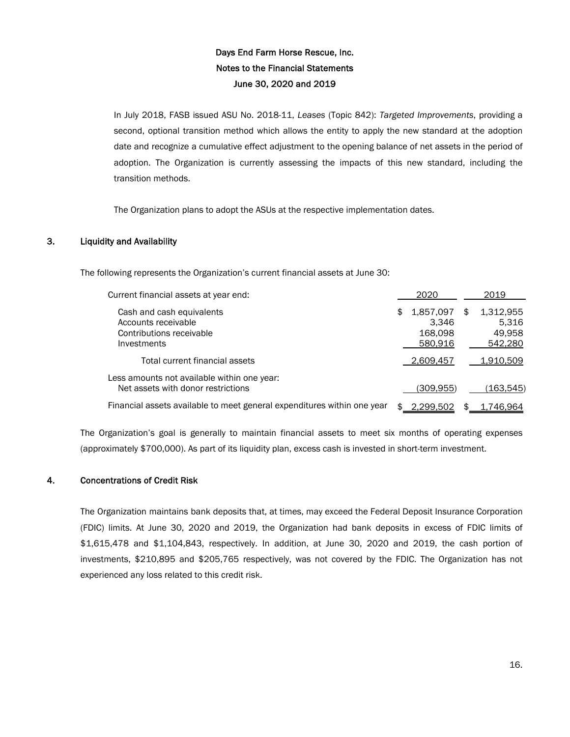In July 2018, FASB issued ASU No. 2018-11, *Leases* (Topic 842): *Targeted Improvements*, providing a second, optional transition method which allows the entity to apply the new standard at the adoption date and recognize a cumulative effect adjustment to the opening balance of net assets in the period of adoption. The Organization is currently assessing the impacts of this new standard, including the transition methods.

The Organization plans to adopt the ASUs at the respective implementation dates.

## 3. Liquidity and Availability

The following represents the Organization's current financial assets at June 30:

| Current financial assets at year end:                                                       |     | 2020                                     |   | 2019                                    |
|---------------------------------------------------------------------------------------------|-----|------------------------------------------|---|-----------------------------------------|
| Cash and cash equivalents<br>Accounts receivable<br>Contributions receivable<br>Investments | \$  | 1,857,097<br>3.346<br>168,098<br>580.916 | S | 1,312,955<br>5.316<br>49,958<br>542,280 |
| Total current financial assets                                                              |     | 2,609,457                                |   | 1,910,509                               |
| Less amounts not available within one year:<br>Net assets with donor restrictions           |     | (309.955)                                |   | (163.545)                               |
| Financial assets available to meet general expenditures within one year                     | \$. | 2.299.502                                |   | 1.746.964                               |

The Organization's goal is generally to maintain financial assets to meet six months of operating expenses (approximately \$700,000). As part of its liquidity plan, excess cash is invested in short-term investment.

### 4. Concentrations of Credit Risk

The Organization maintains bank deposits that, at times, may exceed the Federal Deposit Insurance Corporation (FDIC) limits. At June 30, 2020 and 2019, the Organization had bank deposits in excess of FDIC limits of \$1,615,478 and \$1,104,843, respectively. In addition, at June 30, 2020 and 2019, the cash portion of investments, \$210,895 and \$205,765 respectively, was not covered by the FDIC. The Organization has not experienced any loss related to this credit risk.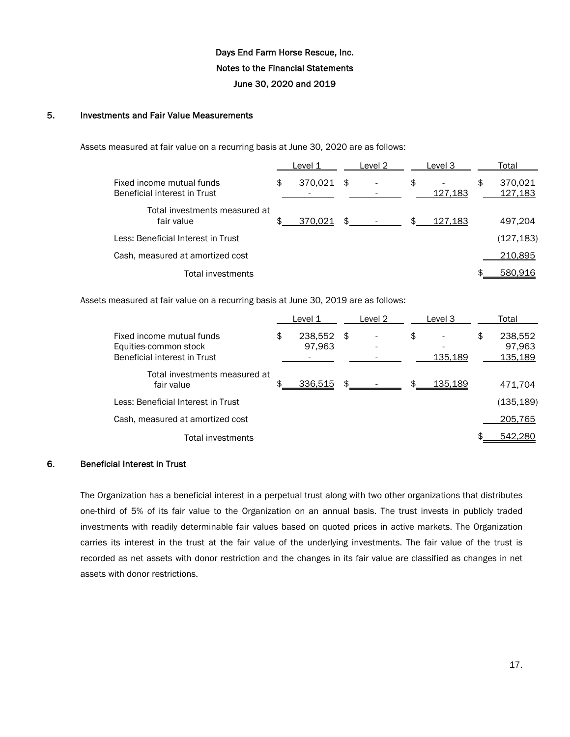### 5. Investments and Fair Value Measurements

Assets measured at fair value on a recurring basis at June 30, 2020 are as follows:

|                                                           | Level 1       |    | Level 2 | Level 3       | Total                    |
|-----------------------------------------------------------|---------------|----|---------|---------------|--------------------------|
| Fixed income mutual funds<br>Beneficial interest in Trust | \$<br>370,021 | S  |         | \$<br>127,183 | \$<br>370,021<br>127,183 |
| Total investments measured at<br>fair value               | 370,021       | \$ |         | 127,183       | 497,204                  |
| Less: Beneficial Interest in Trust                        |               |    |         |               | (127, 183)               |
| Cash, measured at amortized cost                          |               |    |         |               | 210,895                  |
| Total investments                                         |               |    |         |               | 580.916                  |

Assets measured at fair value on a recurring basis at June 30, 2019 are as follows:

|                                                                                    | Level 1                 |     | Level 2 | Level 3       | Total                              |
|------------------------------------------------------------------------------------|-------------------------|-----|---------|---------------|------------------------------------|
| Fixed income mutual funds<br>Equities-common stock<br>Beneficial interest in Trust | \$<br>238,552<br>97,963 | -\$ |         | \$<br>135,189 | \$<br>238,552<br>97,963<br>135,189 |
| Total investments measured at<br>fair value                                        | 336,515                 |     |         | 135.189       | 471.704                            |
| Less: Beneficial Interest in Trust                                                 |                         |     |         |               | (135, 189)                         |
| Cash, measured at amortized cost                                                   |                         |     |         |               | 205,765                            |
| Total investments                                                                  |                         |     |         |               | 542.280                            |

### 6. Beneficial Interest in Trust

The Organization has a beneficial interest in a perpetual trust along with two other organizations that distributes one-third of 5% of its fair value to the Organization on an annual basis. The trust invests in publicly traded investments with readily determinable fair values based on quoted prices in active markets. The Organization carries its interest in the trust at the fair value of the underlying investments. The fair value of the trust is recorded as net assets with donor restriction and the changes in its fair value are classified as changes in net assets with donor restrictions.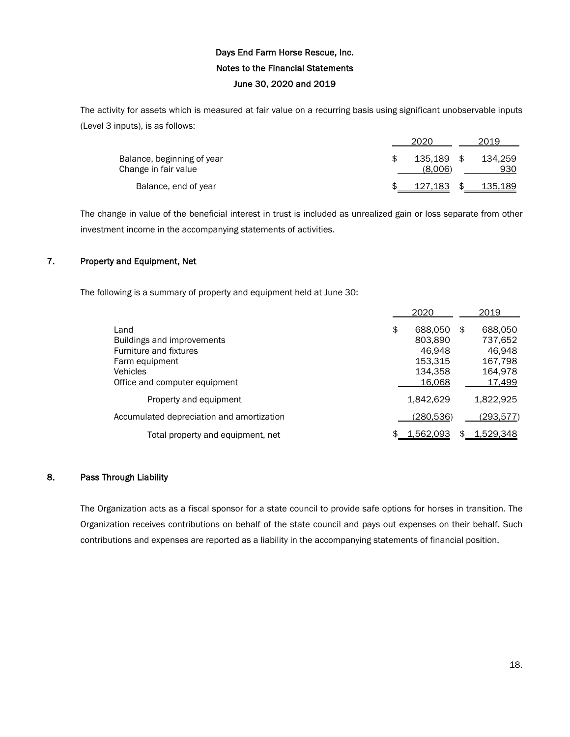The activity for assets which is measured at fair value on a recurring basis using significant unobservable inputs (Level 3 inputs), is as follows:

|                                                    | 2020 |                    |      | 2019           |
|----------------------------------------------------|------|--------------------|------|----------------|
| Balance, beginning of year<br>Change in fair value |      | 135.189<br>(8.006) | - SS | 134.259<br>930 |
| Balance, end of year                               |      | 127,183            | S    | 135,189        |

The change in value of the beneficial interest in trust is included as unrealized gain or loss separate from other investment income in the accompanying statements of activities.

## 7. Property and Equipment, Net

The following is a summary of property and equipment held at June 30:

|                                                                                                                                    | 2020                                                               | 2019                                                               |
|------------------------------------------------------------------------------------------------------------------------------------|--------------------------------------------------------------------|--------------------------------------------------------------------|
| Land<br>Buildings and improvements<br>Furniture and fixtures<br>Farm equipment<br><b>Vehicles</b><br>Office and computer equipment | \$<br>688,050<br>803,890<br>46.948<br>153.315<br>134.358<br>16.068 | \$<br>688,050<br>737,652<br>46.948<br>167,798<br>164,978<br>17,499 |
| Property and equipment                                                                                                             | 1.842.629                                                          | 1.822.925                                                          |
| Accumulated depreciation and amortization                                                                                          | (280, 536)                                                         | (293,577)                                                          |
| Total property and equipment, net                                                                                                  | \$<br><u>1,562,093</u>                                             | \$<br>1,529,348                                                    |

### 8. Pass Through Liability

The Organization acts as a fiscal sponsor for a state council to provide safe options for horses in transition. The Organization receives contributions on behalf of the state council and pays out expenses on their behalf. Such contributions and expenses are reported as a liability in the accompanying statements of financial position.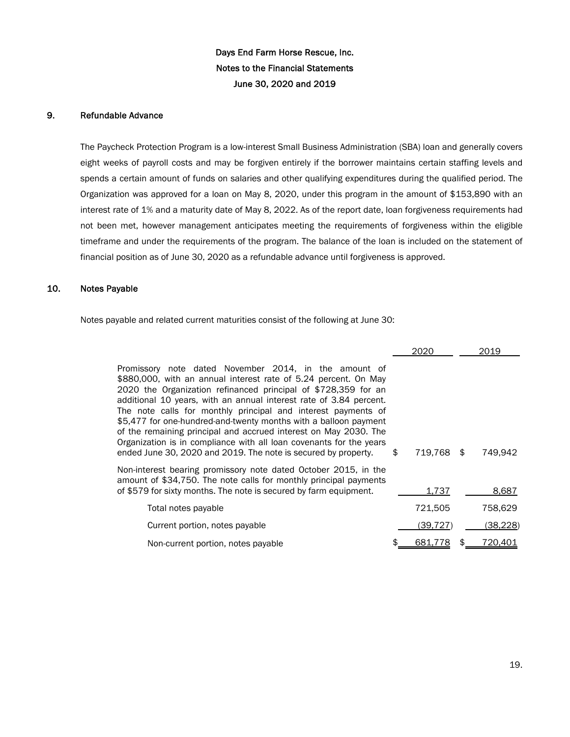### 9. Refundable Advance

The Paycheck Protection Program is a low-interest Small Business Administration (SBA) loan and generally covers eight weeks of payroll costs and may be forgiven entirely if the borrower maintains certain staffing levels and spends a certain amount of funds on salaries and other qualifying expenditures during the qualified period. The Organization was approved for a loan on May 8, 2020, under this program in the amount of \$153,890 with an interest rate of 1% and a maturity date of May 8, 2022. As of the report date, loan forgiveness requirements had not been met, however management anticipates meeting the requirements of forgiveness within the eligible timeframe and under the requirements of the program. The balance of the loan is included on the statement of financial position as of June 30, 2020 as a refundable advance until forgiveness is approved.

### 10. Notes Payable

Notes payable and related current maturities consist of the following at June 30:

|                                                                                                                                                                                                                                                                                                                                                                                                                                                                                                                                                                                                                    |     | 2020     |      | 2019     |
|--------------------------------------------------------------------------------------------------------------------------------------------------------------------------------------------------------------------------------------------------------------------------------------------------------------------------------------------------------------------------------------------------------------------------------------------------------------------------------------------------------------------------------------------------------------------------------------------------------------------|-----|----------|------|----------|
| Promissory note dated November 2014, in the amount of<br>\$880,000, with an annual interest rate of 5.24 percent. On May<br>2020 the Organization refinanced principal of \$728,359 for an<br>additional 10 years, with an annual interest rate of 3.84 percent.<br>The note calls for monthly principal and interest payments of<br>\$5,477 for one-hundred-and-twenty months with a balloon payment<br>of the remaining principal and accrued interest on May 2030. The<br>Organization is in compliance with all loan covenants for the years<br>ended June 30, 2020 and 2019. The note is secured by property. | \$. | 719.768  | - \$ | 749,942  |
| Non-interest bearing promissory note dated October 2015, in the<br>amount of \$34,750. The note calls for monthly principal payments<br>of \$579 for sixty months. The note is secured by farm equipment.                                                                                                                                                                                                                                                                                                                                                                                                          |     | 1,737    |      | 8,687    |
| Total notes payable                                                                                                                                                                                                                                                                                                                                                                                                                                                                                                                                                                                                |     | 721,505  |      | 758,629  |
| Current portion, notes payable                                                                                                                                                                                                                                                                                                                                                                                                                                                                                                                                                                                     |     | (39.727) |      | (38,228) |
| Non-current portion, notes payable                                                                                                                                                                                                                                                                                                                                                                                                                                                                                                                                                                                 |     | 681.7    |      | 720,401  |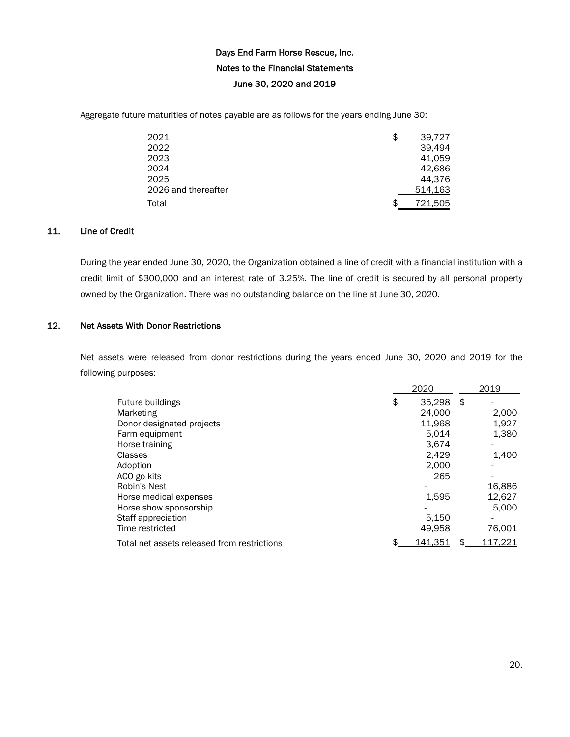Aggregate future maturities of notes payable are as follows for the years ending June 30:

| 2021                | \$<br>39,727  |
|---------------------|---------------|
| 2022                | 39.494        |
| 2023                | 41,059        |
| 2024                | 42,686        |
| 2025                | 44,376        |
| 2026 and thereafter | 514,163       |
| Total               | \$<br>721,505 |

## 11. Line of Credit

During the year ended June 30, 2020, the Organization obtained a line of credit with a financial institution with a credit limit of \$300,000 and an interest rate of 3.25%. The line of credit is secured by all personal property owned by the Organization. There was no outstanding balance on the line at June 30, 2020.

## 12. Net Assets With Donor Restrictions

Net assets were released from donor restrictions during the years ended June 30, 2020 and 2019 for the following purposes:

|                                             | 2020         |      | 2019    |
|---------------------------------------------|--------------|------|---------|
| Future buildings                            | \$<br>35.298 | - \$ |         |
| Marketing                                   | 24.000       |      | 2,000   |
| Donor designated projects                   | 11,968       |      | 1,927   |
| Farm equipment                              | 5.014        |      | 1,380   |
| Horse training                              | 3.674        |      |         |
| Classes                                     | 2.429        |      | 1,400   |
| Adoption                                    | 2.000        |      |         |
| ACO go kits                                 | 265          |      |         |
| Robin's Nest                                |              |      | 16,886  |
| Horse medical expenses                      | 1,595        |      | 12,627  |
| Horse show sponsorship                      |              |      | 5,000   |
| Staff appreciation                          | 5,150        |      |         |
| Time restricted                             | 49,958       |      | 76,001  |
| Total net assets released from restrictions | 141.351      | \$   | 117.221 |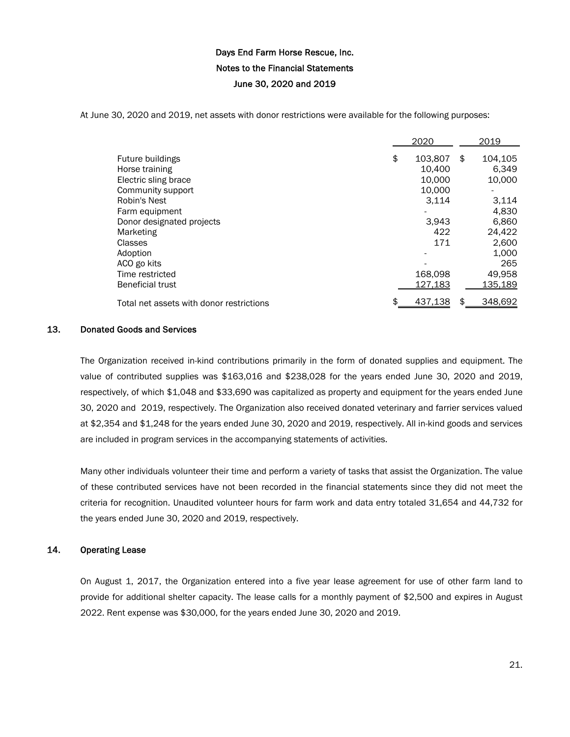At June 30, 2020 and 2019, net assets with donor restrictions were available for the following purposes:

|                                          | 2020          | 2019          |
|------------------------------------------|---------------|---------------|
| Future buildings                         | \$<br>103,807 | \$<br>104.105 |
| Horse training                           | 10,400        | 6,349         |
| Electric sling brace                     | 10.000        | 10,000        |
| Community support                        | 10.000        |               |
| Robin's Nest                             | 3,114         | 3.114         |
| Farm equipment                           |               | 4,830         |
| Donor designated projects                | 3.943         | 6,860         |
| Marketing                                | 422           | 24.422        |
| Classes                                  | 171           | 2,600         |
| Adoption                                 |               | 1,000         |
| ACO go kits                              |               | 265           |
| Time restricted                          | 168,098       | 49,958        |
| <b>Beneficial trust</b>                  | 127,183       | 135,189       |
| Total net assets with donor restrictions | 437,138       | \$<br>348,692 |

#### 13. Donated Goods and Services

The Organization received in-kind contributions primarily in the form of donated supplies and equipment. The value of contributed supplies was \$163,016 and \$238,028 for the years ended June 30, 2020 and 2019, respectively, of which \$1,048 and \$33,690 was capitalized as property and equipment for the years ended June 30, 2020 and 2019, respectively. The Organization also received donated veterinary and farrier services valued at \$2,354 and \$1,248 for the years ended June 30, 2020 and 2019, respectively. All in-kind goods and services are included in program services in the accompanying statements of activities.

Many other individuals volunteer their time and perform a variety of tasks that assist the Organization. The value of these contributed services have not been recorded in the financial statements since they did not meet the criteria for recognition. Unaudited volunteer hours for farm work and data entry totaled 31,654 and 44,732 for the years ended June 30, 2020 and 2019, respectively.

### 14. Operating Lease

On August 1, 2017, the Organization entered into a five year lease agreement for use of other farm land to provide for additional shelter capacity. The lease calls for a monthly payment of \$2,500 and expires in August 2022. Rent expense was \$30,000, for the years ended June 30, 2020 and 2019.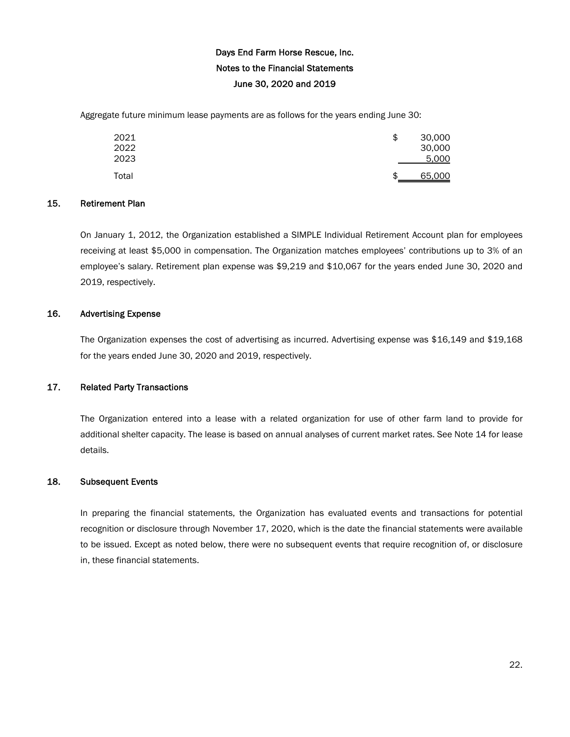Aggregate future minimum lease payments are as follows for the years ending June 30:

| 2021<br>2022<br>2023 | \$<br>30,000<br>30,000<br>5,000 |
|----------------------|---------------------------------|
| Total                | \$<br>65,000                    |

#### 15. Retirement Plan

On January 1, 2012, the Organization established a SIMPLE Individual Retirement Account plan for employees receiving at least \$5,000 in compensation. The Organization matches employees' contributions up to 3% of an employee's salary. Retirement plan expense was \$9,219 and \$10,067 for the years ended June 30, 2020 and 2019, respectively.

### 16. Advertising Expense

The Organization expenses the cost of advertising as incurred. Advertising expense was \$16,149 and \$19,168 for the years ended June 30, 2020 and 2019, respectively.

### 17. Related Party Transactions

The Organization entered into a lease with a related organization for use of other farm land to provide for additional shelter capacity. The lease is based on annual analyses of current market rates. See Note 14 for lease details.

### 18. Subsequent Events

In preparing the financial statements, the Organization has evaluated events and transactions for potential recognition or disclosure through November 17, 2020, which is the date the financial statements were available to be issued. Except as noted below, there were no subsequent events that require recognition of, or disclosure in, these financial statements.